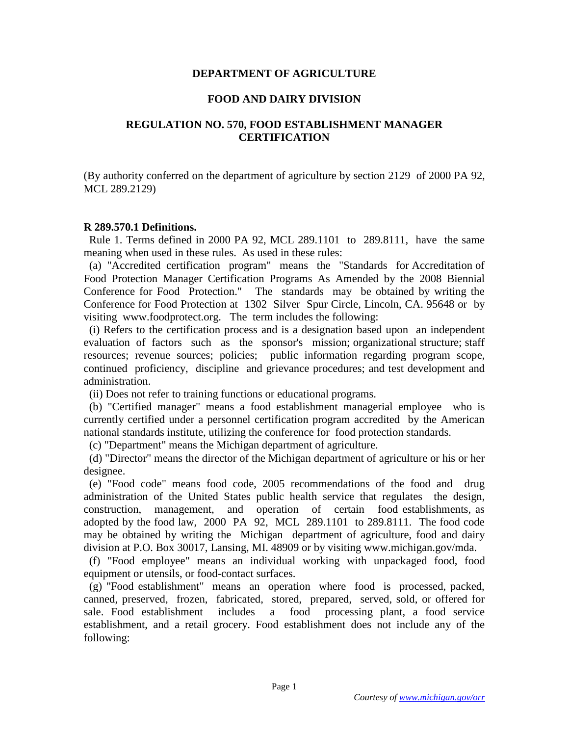## **DEPARTMENT OF AGRICULTURE**

## **FOOD AND DAIRY DIVISION**

# **REGULATION NO. 570, FOOD ESTABLISHMENT MANAGER CERTIFICATION**

(By authority conferred on the department of agriculture by section 2129 of 2000 PA 92, MCL 289.2129)

#### **R 289.570.1 Definitions.**

 Rule 1. Terms defined in 2000 PA 92, MCL 289.1101 to 289.8111, have the same meaning when used in these rules. As used in these rules:

 (a) "Accredited certification program" means the "Standards for Accreditation of Food Protection Manager Certification Programs As Amended by the 2008 Biennial Conference for Food Protection." The standards may be obtained by writing the Conference for Food Protection at 1302 Silver Spur Circle, Lincoln, CA. 95648 or by visiting www.foodprotect.org. The term includes the following:

 (i) Refers to the certification process and is a designation based upon an independent evaluation of factors such as the sponsor's mission; organizational structure; staff resources; revenue sources; policies; public information regarding program scope, continued proficiency, discipline and grievance procedures; and test development and administration.

(ii) Does not refer to training functions or educational programs.

 (b) "Certified manager" means a food establishment managerial employee who is currently certified under a personnel certification program accredited by the American national standards institute, utilizing the conference for food protection standards.

(c) "Department" means the Michigan department of agriculture.

 (d) "Director" means the director of the Michigan department of agriculture or his or her designee.

 (e) "Food code" means food code, 2005 recommendations of the food and drug administration of the United States public health service that regulates the design, construction, management, and operation of certain food establishments, as adopted by the food law, 2000 PA 92, MCL 289.1101 to 289.8111. The food code may be obtained by writing the Michigan department of agriculture, food and dairy division at P.O. Box 30017, Lansing, MI. 48909 or by visiting www.michigan.gov/mda.

 (f) "Food employee" means an individual working with unpackaged food, food equipment or utensils, or food-contact surfaces.

 (g) "Food establishment" means an operation where food is processed, packed, canned, preserved, frozen, fabricated, stored, prepared, served, sold, or offered for sale. Food establishment includes a food processing plant, a food service establishment, and a retail grocery. Food establishment does not include any of the following: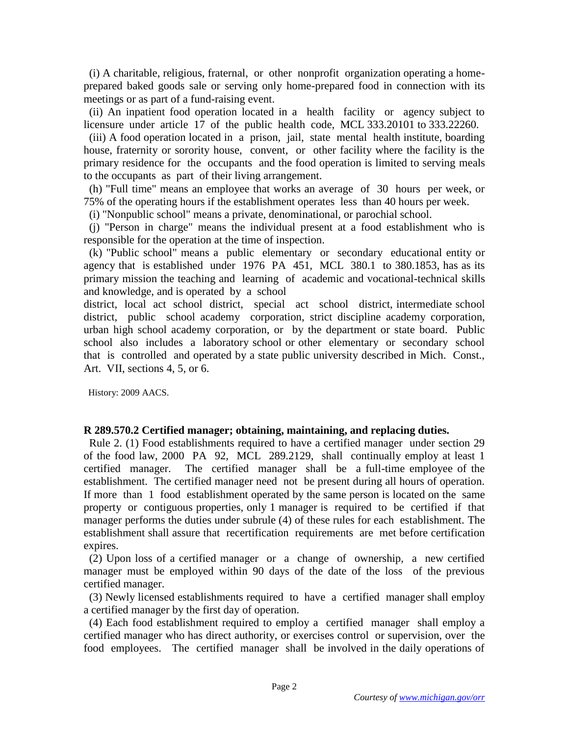(i) A charitable, religious, fraternal, or other nonprofit organization operating a homeprepared baked goods sale or serving only home-prepared food in connection with its meetings or as part of a fund-raising event.

 (ii) An inpatient food operation located in a health facility or agency subject to licensure under article 17 of the public health code, MCL 333.20101 to 333.22260.

 (iii) A food operation located in a prison, jail, state mental health institute, boarding house, fraternity or sorority house, convent, or other facility where the facility is the primary residence for the occupants and the food operation is limited to serving meals to the occupants as part of their living arrangement.

 (h) "Full time" means an employee that works an average of 30 hours per week, or 75% of the operating hours if the establishment operates less than 40 hours per week.

(i) "Nonpublic school" means a private, denominational, or parochial school.

 (j) "Person in charge" means the individual present at a food establishment who is responsible for the operation at the time of inspection.

 (k) "Public school" means a public elementary or secondary educational entity or agency that is established under 1976 PA 451, MCL 380.1 to 380.1853, has as its primary mission the teaching and learning of academic and vocational-technical skills and knowledge, and is operated by a school

district, local act school district, special act school district, intermediate school district, public school academy corporation, strict discipline academy corporation, urban high school academy corporation, or by the department or state board. Public school also includes a laboratory school or other elementary or secondary school that is controlled and operated by a state public university described in Mich. Const., Art. VII, sections 4, 5, or 6.

History: 2009 AACS.

#### **R 289.570.2 Certified manager; obtaining, maintaining, and replacing duties.**

 Rule 2. (1) Food establishments required to have a certified manager under section 29 of the food law, 2000 PA 92, MCL 289.2129, shall continually employ at least 1 certified manager. The certified manager shall be a full-time employee of the establishment. The certified manager need not be present during all hours of operation. If more than 1 food establishment operated by the same person is located on the same property or contiguous properties, only 1 manager is required to be certified if that manager performs the duties under subrule (4) of these rules for each establishment. The establishment shall assure that recertification requirements are met before certification expires.

 (2) Upon loss of a certified manager or a change of ownership, a new certified manager must be employed within 90 days of the date of the loss of the previous certified manager.

 (3) Newly licensed establishments required to have a certified manager shall employ a certified manager by the first day of operation.

 (4) Each food establishment required to employ a certified manager shall employ a certified manager who has direct authority, or exercises control or supervision, over the food employees. The certified manager shall be involved in the daily operations of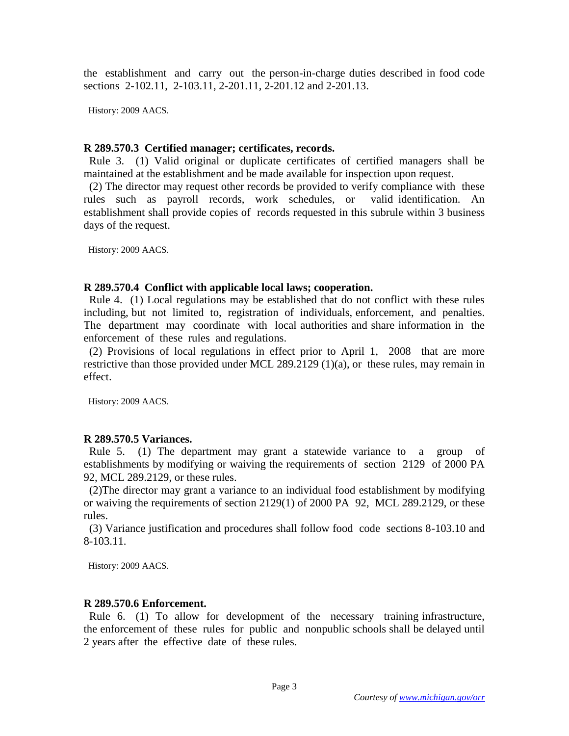the establishment and carry out the person-in-charge duties described in food code sections 2-102.11, 2-103.11, 2-201.11, 2-201.12 and 2-201.13.

History: 2009 AACS.

## **R 289.570.3 Certified manager; certificates, records.**

 Rule 3. (1) Valid original or duplicate certificates of certified managers shall be maintained at the establishment and be made available for inspection upon request.

 (2) The director may request other records be provided to verify compliance with these rules such as payroll records, work schedules, or valid identification. An establishment shall provide copies of records requested in this subrule within 3 business days of the request.

History: 2009 AACS.

## **R 289.570.4 Conflict with applicable local laws; cooperation.**

 Rule 4. (1) Local regulations may be established that do not conflict with these rules including, but not limited to, registration of individuals, enforcement, and penalties. The department may coordinate with local authorities and share information in the enforcement of these rules and regulations.

 (2) Provisions of local regulations in effect prior to April 1, 2008 that are more restrictive than those provided under MCL 289.2129 (1)(a), or these rules, may remain in effect.

History: 2009 AACS.

## **R 289.570.5 Variances.**

 Rule 5. (1) The department may grant a statewide variance to a group of establishments by modifying or waiving the requirements of section 2129 of 2000 PA 92, MCL 289.2129, or these rules.

 (2)The director may grant a variance to an individual food establishment by modifying or waiving the requirements of section 2129(1) of 2000 PA 92, MCL 289.2129, or these rules.

 (3) Variance justification and procedures shall follow food code sections 8-103.10 and 8-103.11.

History: 2009 AACS.

## **R 289.570.6 Enforcement.**

 Rule 6. (1) To allow for development of the necessary training infrastructure, the enforcement of these rules for public and nonpublic schools shall be delayed until 2 years after the effective date of these rules.